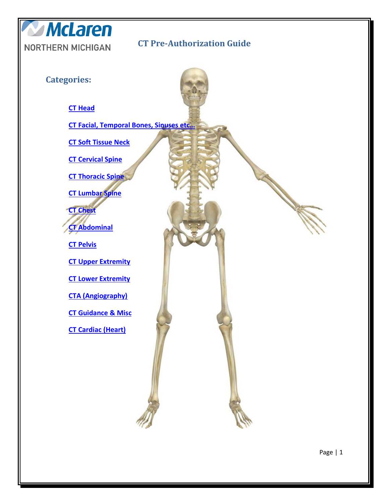<span id="page-0-0"></span>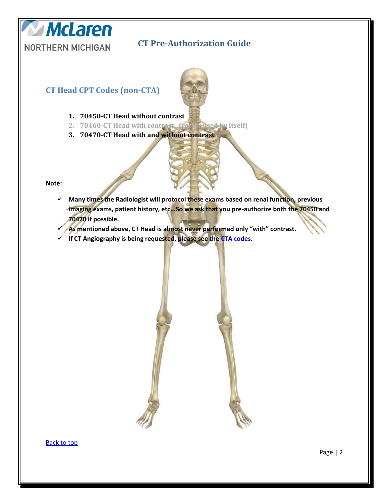



<span id="page-1-0"></span>**CT Head CPT Codes (non-CTA)**

- **1. 70450-CT Head without contrast 2. 70460-CT Head with contrast (rarely used by itself)**
- **3. 70470-CT Head with and without contrast**

**Note:**

- **Many times the Radiologist will protocol these exams based on renal function, previous imaging exams, patient history, etc...So we ask that you pre-authorize both the 70450 and 70470 if possible.**
- **As mentioned above, CT Head is almost never performed only "with" contrast.**
- **If CT Angiography is being requested, please see the [CTA codes.](#page-5-1)**

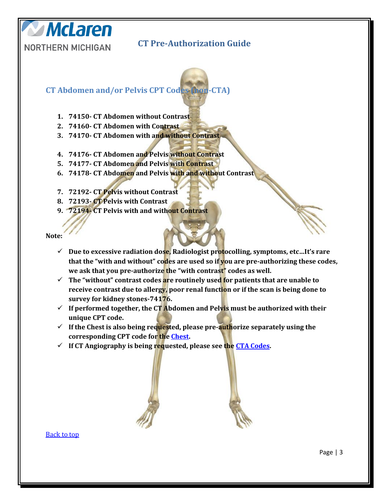**CT Abdomen and/or Pelvis CPT Codes (non-CTA)**

- **1. 74150- CT Abdomen without Contrast**
- **2. 74160- CT Abdomen with Contrast**
- **3. 74170- CT Abdomen with and without Contrast**
- **4. 74176- CT Abdomen and Pelvis without Contrast**
- **5. 74177- CT Abdomen and Pelvis with Contrast**
- **6. 74178- CT Abdomen and Pelvis with and without Contrast**
- **7. 72192- CT Pelvis without Contrast**
- **8. 72193- CT Pelvis with Contrast**
- **9. 72194- CT Pelvis with and without Contrast**

**Note:** 

**McLaren** 

<span id="page-2-0"></span>**NORTHERN MICHIGAN** 

- **Due to excessive radiation dose, Radiologist protocolling, symptoms, etc…It's rare that the "with and without" codes are used so if you are pre-authorizing these codes, we ask that you pre-authorize the "with contrast" codes as well.**
- **The "without" contrast codes are routinely used for patients that are unable to receive contrast due to allergy, poor renal function or if the scan is being done to survey for kidney stones-74176.**
- $\checkmark$  If performed together, the CT Abdomen and Pelvis must be authorized with their **unique CPT code.**
- $\checkmark$  If the Chest is also being requested, please pre-**auth**orize separately using the **corresponding CPT code for th[e Chest.](#page-3-0)**
- **If CT Angiography is being requested, please see the [CTA Codes.](#page-5-1)**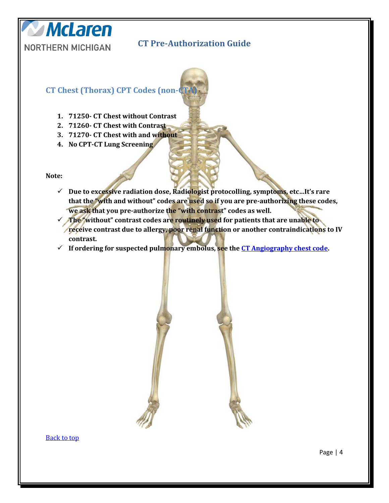

### **CT Chest (Thorax) CPT Codes (non-C**

- **1. 71250- CT Chest without Contrast**
- **2. 71260- CT Chest with Contrast**
- **3. 71270- CT Chest with and without**
- **4. No CPT-CT Lung Screening**

**Note:**

**McLaren** 

<span id="page-3-0"></span>**NORTHERN MICHIGAN** 

- **Due to excessive radiation dose, Radiologist protocolling, symptoms, etc…It's rare that the "with and without" codes are used so if you are pre-authorizing these codes, we ask that you pre-authorize the "with contrast" codes as well.**
- **The "without" contrast codes are routinely used for patients that are unable to**  *receive contrast due to allergy, poor renal function or another contraindications to IV* **contrast.**
- **If ordering for suspected pulmonary embolus, see the [CT Angiography chest code.](#page-5-0)**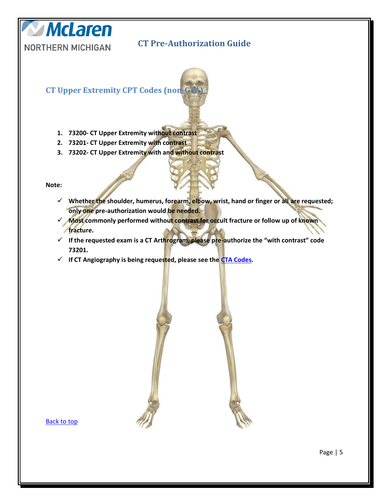

<span id="page-4-0"></span>**CT Upper Extremity CPT Codes (non-**

- **1. 73200- CT Upper Extremity without contrast**
- **2. 73201- CT Upper Extremity with contrast**
- **3. 73202- CT Upper Extremity with and without contrast**

**Note:**

- **Whether the shoulder, humerus, forearm, elbow, wrist, hand or finger or all are requested; only one pre-authorization would be needed.**
- **Most commonly performed without contrast for occult fracture or follow up of known fracture.**
- **If the requested exam is a CT Arthrogram, please pre-authorize the "with contrast" code 73201.**
- **If CT Angiography is being requested, please see the [CTA Codes.](#page-5-1)**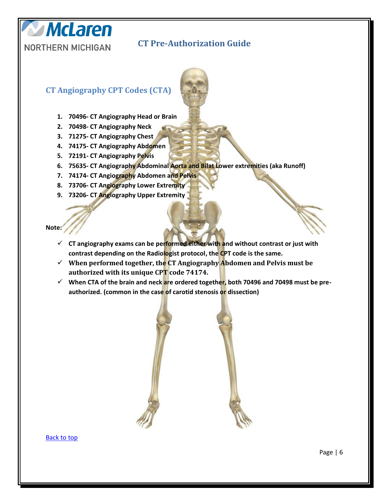### <span id="page-5-1"></span>**CT Angiography CPT Codes (CTA)**

**McLaren** 

<span id="page-5-0"></span>**NORTHERN MICHIGAN** 

- **1. 70496- CT Angiography Head or Brain**
- **2. 70498- CT Angiography Neck**
- **3. 71275- CT Angiography Chest**
- **4. 74175- CT Angiography Abdomen**
- **5. 72191- CT Angiography Pelvis**
- **6. 75635- CT Angiography Abdominal Aorta and Bilat Lower extremities (aka Runoff)**
- **7. 74174- CT Angiography Abdomen and Pelvis**
- **8. 73706- CT Angiography Lower Extremity**
- **9. 73206- CT Angiography Upper Extremity**

**Note:**

- **CT angiography exams can be performed either with and without contrast or just with contrast depending on the Radiologist protocol, the CPT code is the same.**
- **When performed together, the CT Angiography Abdomen and Pelvis must be authorized with its unique CPT code 74174.**
- **When CTA of the brain and neck are ordered together, both 70496 and 70498 must be preauthorized. (common in the case of carotid stenosis or dissection)**

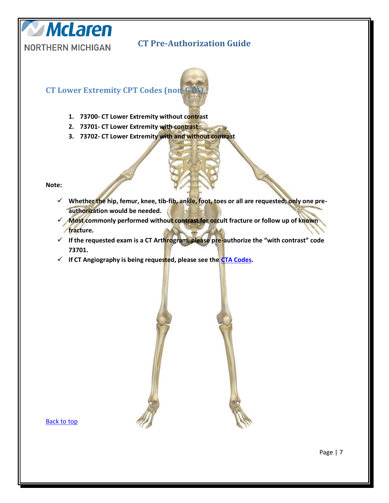

#### <span id="page-6-0"></span>**CT Lower Extremity CPT Codes (non-**

- **1. 73700- CT Lower Extremity without contrast**
- **2. 73701- CT Lower Extremity with contrast**
- **3. 73702- CT Lower Extremity with and without contrast**

**Note:**

- **Whether the hip, femur, knee, tib-fib, ankle, foot, toes or all are requested; only one preauthorization would be needed.**
- **Most commonly performed without contrast for occult fracture or follow up of known fracture.**
- **If the requested exam is a CT Arthrogram, please pre-authorize the "with contrast" code 73701.**
- **If CT Angiography is being requested, please see the [CTA Codes.](#page-5-1)**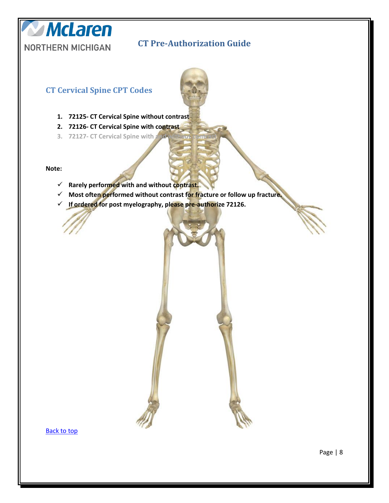#### **CT Cervical Spine CPT Codes**

- **1. 72125- CT Cervical Spine without contrast**
- **2. 72126- CT Cervical Spine with contrast**
- **3. 72127-CT Cervical Spine with**

**Note:** 

**McLaren** 

<span id="page-7-0"></span>**NORTHERN MICHIGAN** 

- **Rarely performed with and without contrast.**
- **Most often performed without contrast for fracture or follow up fracture.**
- **If ordered for post myelography, please pre-authorize 72126.**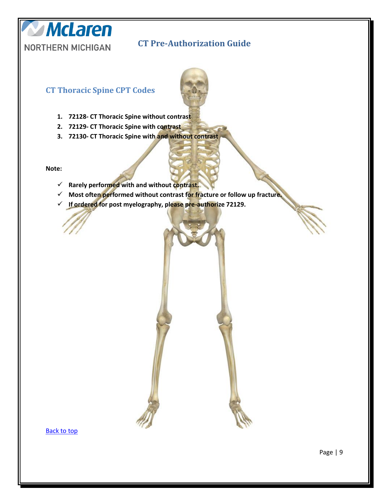

#### **CT Thoracic Spine CPT Codes**

**McLaren** 

<span id="page-8-0"></span>**NORTHERN MICHIGAN** 

- **1. 72128- CT Thoracic Spine without contrast**
- **2. 72129- CT Thoracic Spine with contrast**
- **3. 72130- CT Thoracic Spine with and without contrast**

**Note:**

- **Rarely performed with and without contrast.**
- **Most often performed without contrast for fracture or follow up fracture.**
- **If ordered for post myelography, please pre-authorize 72129.**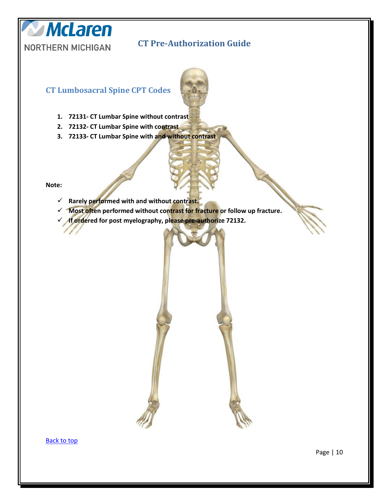### **CT Lumbosacral Spine CPT Codes**

- **1. 72131- CT Lumbar Spine without contrast**
- **2. 72132- CT Lumbar Spine with contrast**
- **3. 72133- CT Lumbar Spine with and without contrast**

**Note:**

**McLaren** 

<span id="page-9-0"></span>**NORTHERN MICHIGAN** 

- **Rarely performed with and without contrast.**
- **Most often performed without contrast for fracture or follow up fracture.**
- **If ordered for post myelography, please pre-authorize 72132.**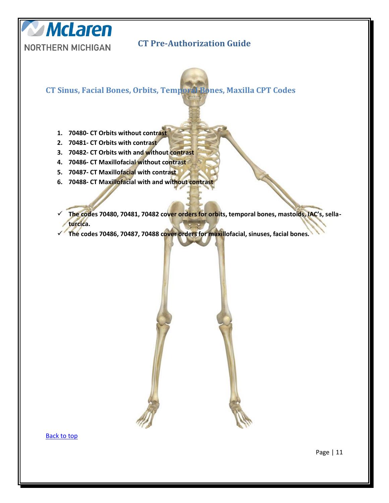<span id="page-10-0"></span>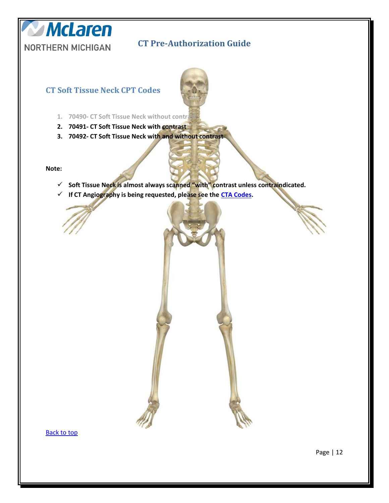

# <span id="page-11-0"></span>**CT Soft Tissue Neck CPT Codes**

- 1. **70490- CT Soft Tissue Neck without contrated**
- **2. 70491- CT Soft Tissue Neck with contrast**
- **3. 70492- CT Soft Tissue Neck with and without contrast**

**Note:**

- **Soft Tissue Neck is almost always scanned "with" contrast unless contraindicated.**
- **If CT Angiography is being requested, please see the [CTA Codes.](#page-5-1)**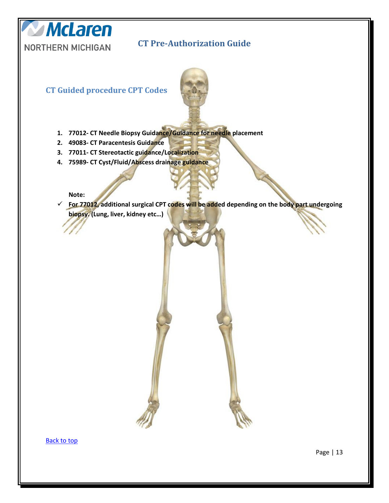

<span id="page-12-0"></span>**CT Guided procedure CPT Codes** 



- **1. 77012- CT Needle Biopsy Guidance/Guidance for needle placement**
- **2. 49083- CT Paracentesis Guidance**
- **3. 77011- CT Stereotactic guidance/Localization**
- **4. 75989- CT Cyst/Fluid/Abscess drainage guidance**

#### **Note:**

 **For 77012, additional surgical CPT codes will be added depending on the body part undergoing biopsy. (Lung, liver, kidney etc…)**